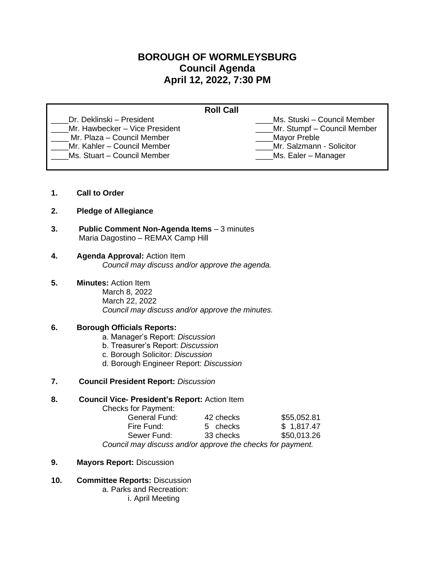# **BOROUGH OF WORMLEYSBURG Council Agenda April 12, 2022, 7:30 PM**

| <b>Roll Call</b>                                             |                                             |
|--------------------------------------------------------------|---------------------------------------------|
| Dr. Deklinski – President                                    | Ms. Stuski – Council Member                 |
| Mr. Hawbecker - Vice President<br>Mr. Plaza – Council Member | Mr. Stumpf - Council Member<br>Mayor Preble |
| Mr. Kahler - Council Member                                  | Mr. Salzmann - Solicitor                    |
| Ms. Stuart - Council Member                                  | Ms. Ealer – Manager                         |

- **1. Call to Order**
- **2. Pledge of Allegiance**
- **3. Public Comment Non-Agenda Items** 3 minutes Maria Dagostino – REMAX Camp Hill
- **4. Agenda Approval:** Action Item *Council may discuss and/or approve the agenda.*
- **5. Minutes:** Action Item
	- March 8, 2022 March 22, 2022 *Council may discuss and/or approve the minutes.*

### **6. Borough Officials Reports:**

- a. Manager's Report: *Discussion*
- b. Treasurer's Report: *Discussion*
- c. Borough Solicitor: *Discussion*
- d. Borough Engineer Report: *Discussion*
- **7. Council President Report:** *Discussion*

### **8. Council Vice- President's Report:** Action Item

Checks for Payment:

| <b>General Fund:</b>                                       | 42 checks | \$55,052.81 |
|------------------------------------------------------------|-----------|-------------|
| Fire Fund:                                                 | 5 checks  | \$1,817.47  |
| Sewer Fund:                                                | 33 checks | \$50,013.26 |
| Council may discuss and/or approve the checks for payment. |           |             |

- **9. Mayors Report:** Discussion
- **10. Committee Reports:** Discussion
	- a. Parks and Recreation:
		- i. April Meeting